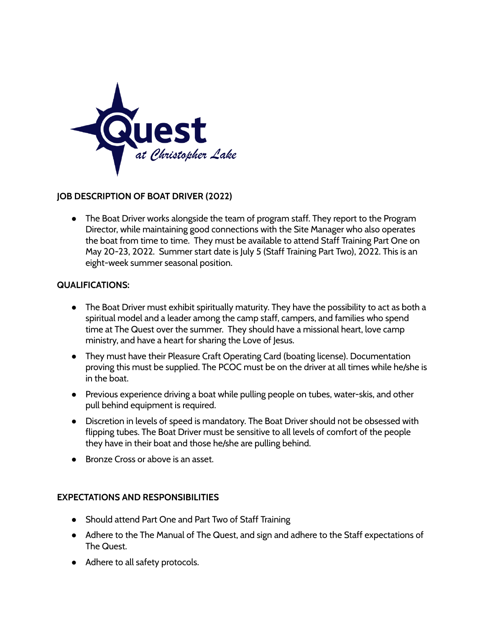

## **JOB DESCRIPTION OF BOAT DRIVER (2022)**

• The Boat Driver works alongside the team of program staff. They report to the Program Director, while maintaining good connections with the Site Manager who also operates the boat from time to time. They must be available to attend Staff Training Part One on May 20-23, 2022. Summer start date is July 5 (Staff Training Part Two), 2022. This is an eight-week summer seasonal position.

## **QUALIFICATIONS:**

- The Boat Driver must exhibit spiritually maturity. They have the possibility to act as both a spiritual model and a leader among the camp staff, campers, and families who spend time at The Quest over the summer. They should have a missional heart, love camp ministry, and have a heart for sharing the Love of Jesus.
- They must have their Pleasure Craft Operating Card (boating license). Documentation proving this must be supplied. The PCOC must be on the driver at all times while he/she is in the boat.
- Previous experience driving a boat while pulling people on tubes, water-skis, and other pull behind equipment is required.
- Discretion in levels of speed is mandatory. The Boat Driver should not be obsessed with flipping tubes. The Boat Driver must be sensitive to all levels of comfort of the people they have in their boat and those he/she are pulling behind.
- Bronze Cross or above is an asset.

## **EXPECTATIONS AND RESPONSIBILITIES**

- Should attend Part One and Part Two of Staff Training
- Adhere to the The Manual of The Quest, and sign and adhere to the Staff expectations of The Quest.
- Adhere to all safety protocols.